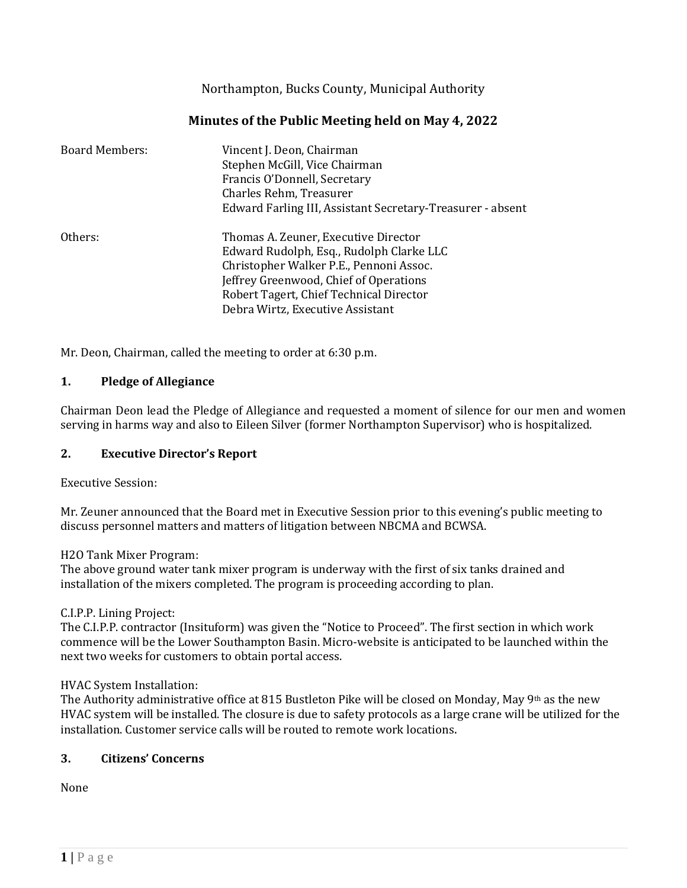Northampton, Bucks County, Municipal Authority

# **Minutes of the Public Meeting held on May 4, 2022**

| <b>Board Members:</b> | Vincent J. Deon, Chairman<br>Stephen McGill, Vice Chairman<br>Francis O'Donnell, Secretary<br>Charles Rehm, Treasurer<br>Edward Farling III, Assistant Secretary-Treasurer - absent                                                                  |
|-----------------------|------------------------------------------------------------------------------------------------------------------------------------------------------------------------------------------------------------------------------------------------------|
| Others:               | Thomas A. Zeuner, Executive Director<br>Edward Rudolph, Esq., Rudolph Clarke LLC<br>Christopher Walker P.E., Pennoni Assoc.<br>Jeffrey Greenwood, Chief of Operations<br>Robert Tagert, Chief Technical Director<br>Debra Wirtz, Executive Assistant |

Mr. Deon, Chairman, called the meeting to order at 6:30 p.m.

#### **1. Pledge of Allegiance**

Chairman Deon lead the Pledge of Allegiance and requested a moment of silence for our men and women serving in harms way and also to Eileen Silver (former Northampton Supervisor) who is hospitalized.

#### **2. Executive Director's Report**

Executive Session:

Mr. Zeuner announced that the Board met in Executive Session prior to this evening's public meeting to discuss personnel matters and matters of litigation between NBCMA and BCWSA.

H2O Tank Mixer Program:

The above ground water tank mixer program is underway with the first of six tanks drained and installation of the mixers completed. The program is proceeding according to plan.

### C.I.P.P. Lining Project:

The C.I.P.P. contractor (Insituform) was given the "Notice to Proceed". The first section in which work commence will be the Lower Southampton Basin. Micro-website is anticipated to be launched within the next two weeks for customers to obtain portal access.

#### HVAC System Installation:

The Authority administrative office at 815 Bustleton Pike will be closed on Monday, May 9th as the new HVAC system will be installed. The closure is due to safety protocols as a large crane will be utilized for the installation. Customer service calls will be routed to remote work locations.

### **3. Citizens' Concerns**

None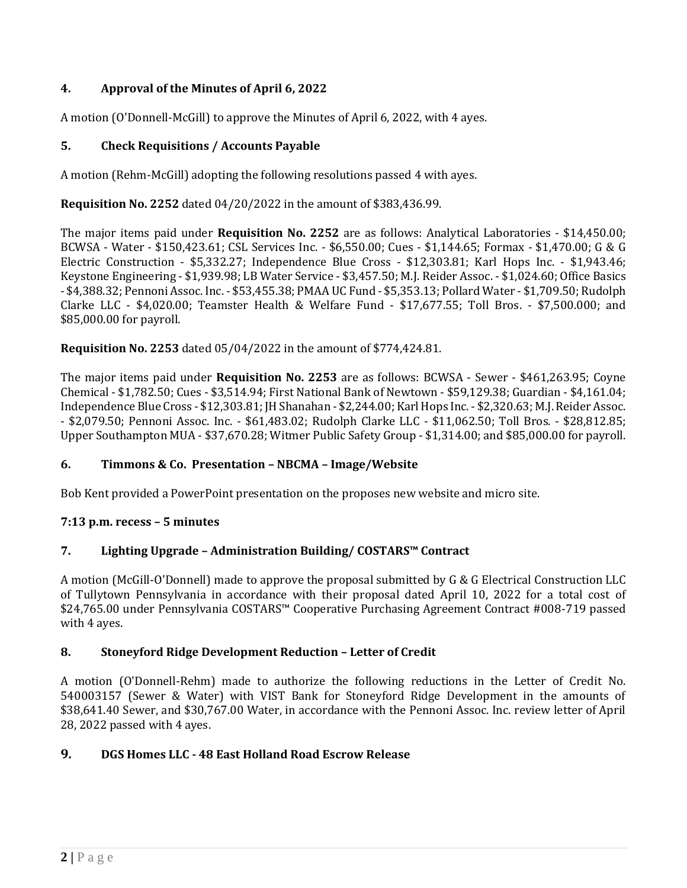# **4. Approval of the Minutes of April 6, 2022**

A motion (O'Donnell-McGill) to approve the Minutes of April 6, 2022, with 4 ayes.

## **5. Check Requisitions / Accounts Payable**

A motion (Rehm-McGill) adopting the following resolutions passed 4 with ayes.

**Requisition No. 2252** dated 04/20/2022 in the amount of \$383,436.99.

The major items paid under **Requisition No. 2252** are as follows: Analytical Laboratories - \$14,450.00; BCWSA - Water - \$150,423.61; CSL Services Inc. - \$6,550.00; Cues - \$1,144.65; Formax - \$1,470.00; G & G Electric Construction - \$5,332.27; Independence Blue Cross - \$12,303.81; Karl Hops Inc. - \$1,943.46; Keystone Engineering - \$1,939.98; LB Water Service - \$3,457.50; M.J. Reider Assoc. - \$1,024.60; Office Basics - \$4,388.32; Pennoni Assoc. Inc. - \$53,455.38; PMAA UC Fund - \$5,353.13; Pollard Water - \$1,709.50; Rudolph Clarke LLC - \$4,020.00; Teamster Health & Welfare Fund - \$17,677.55; Toll Bros. - \$7,500.000; and \$85,000.00 for payroll.

**Requisition No. 2253** dated 05/04/2022 in the amount of \$774,424.81.

The major items paid under **Requisition No. 2253** are as follows: BCWSA - Sewer - \$461,263.95; Coyne Chemical - \$1,782.50; Cues - \$3,514.94; First National Bank of Newtown - \$59,129.38; Guardian - \$4,161.04; Independence Blue Cross - \$12,303.81; JH Shanahan - \$2,244.00; Karl Hops Inc. - \$2,320.63; M.J. Reider Assoc. - \$2,079.50; Pennoni Assoc. Inc. - \$61,483.02; Rudolph Clarke LLC - \$11,062.50; Toll Bros. - \$28,812.85; Upper Southampton MUA - \$37,670.28; Witmer Public Safety Group - \$1,314.00; and \$85,000.00 for payroll.

### **6. Timmons & Co. Presentation – NBCMA – Image/Website**

Bob Kent provided a PowerPoint presentation on the proposes new website and micro site.

### **7:13 p.m. recess – 5 minutes**

### **7. Lighting Upgrade – Administration Building/ COSTARS™ Contract**

A motion (McGill-O'Donnell) made to approve the proposal submitted by G & G Electrical Construction LLC of Tullytown Pennsylvania in accordance with their proposal dated April 10, 2022 for a total cost of \$24,765.00 under Pennsylvania COSTARS™ Cooperative Purchasing Agreement Contract #008-719 passed with 4 ayes.

### **8. Stoneyford Ridge Development Reduction – Letter of Credit**

A motion (O'Donnell-Rehm) made to authorize the following reductions in the Letter of Credit No. 540003157 (Sewer & Water) with VIST Bank for Stoneyford Ridge Development in the amounts of \$38,641.40 Sewer, and \$30,767.00 Water, in accordance with the Pennoni Assoc. Inc. review letter of April 28, 2022 passed with 4 ayes.

### **9. DGS Homes LLC - 48 East Holland Road Escrow Release**